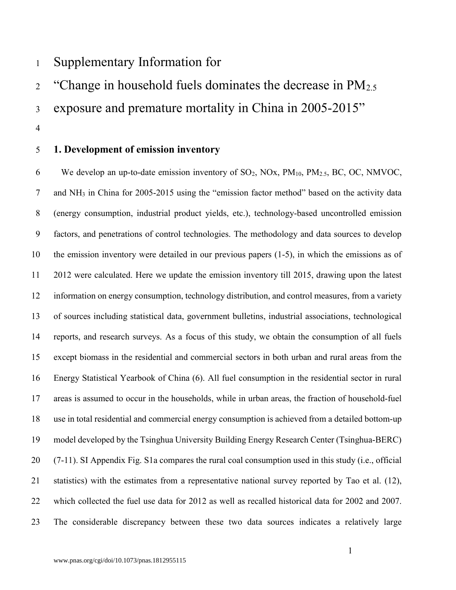## <sup>1</sup>Supplementary Information for

<sup>2</sup> "Change in household fuels dominates the decrease in  $PM<sub>2.5</sub>$ 

3 exposure and premature mortality in China in 2005-2015"

4

#### 5 1. Development of emission inventory

6 We develop an up-to-date emission inventory of  $SO_2$ ,  $NOx$ ,  $PM_{10}$ ,  $PM_{2.5}$ ,  $BC$ ,  $OC$ ,  $NMVOC$ , 7 and NH3 in China for 2005-2015 using the "emission factor method" based on the activity data 8 (energy consumption, industrial product yields, etc.), technology-based uncontrolled emission 9 factors, and penetrations of control technologies. The methodology and data sources to develop 10 the emission inventory were detailed in our previous papers (1-5), in which the emissions as of 11 2012 were calculated. Here we update the emission inventory till 2015, drawing upon the latest 12 information on energy consumption, technology distribution, and control measures, from a variety 13 of sources including statistical data, government bulletins, industrial associations, technological 14 reports, and research surveys. As a focus of this study, we obtain the consumption of all fuels 15 except biomass in the residential and commercial sectors in both urban and rural areas from the 16 Energy Statistical Yearbook of China (6). All fuel consumption in the residential sector in rural 17 areas is assumed to occur in the households, while in urban areas, the fraction of household-fuel 18 use in total residential and commercial energy consumption is achieved from a detailed bottom-up 19 model developed by the Tsinghua University Building Energy Research Center (Tsinghua-BERC) 20 (7-11). SI Appendix Fig. S1a compares the rural coal consumption used in this study (i.e., official 21 statistics) with the estimates from a representative national survey reported by Tao et al. (12), 22 which collected the fuel use data for 2012 as well as recalled historical data for 2002 and 2007. 23 The considerable discrepancy between these two data sources indicates a relatively large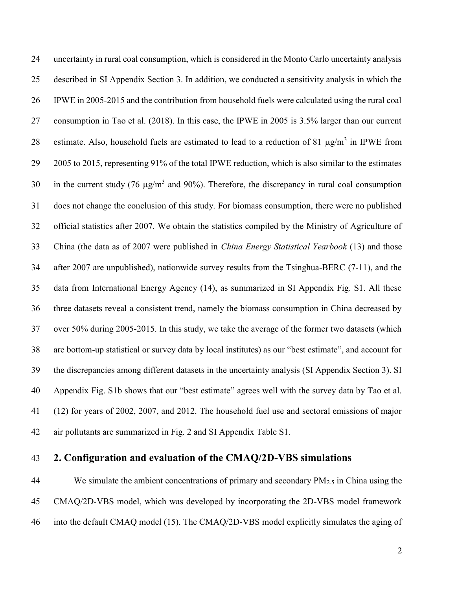24 uncertainty in rural coal consumption, which is considered in the Monto Carlo uncertainty analysis 25 described in SI Appendix Section 3. In addition, we conducted a sensitivity analysis in which the 26 IPWE in 2005-2015 and the contribution from household fuels were calculated using the rural coal 27 consumption in Tao et al. (2018). In this case, the IPWE in 2005 is 3.5% larger than our current 28 estimate. Also, household fuels are estimated to lead to a reduction of 81  $\mu$ g/m<sup>3</sup> in IPWE from 29 2005 to 2015, representing 91% of the total IPWE reduction, which is also similar to the estimates 30 in the current study (76  $\mu$ g/m<sup>3</sup> and 90%). Therefore, the discrepancy in rural coal consumption 31 does not change the conclusion of this study. For biomass consumption, there were no published 32 official statistics after 2007. We obtain the statistics compiled by the Ministry of Agriculture of 33 China (the data as of 2007 were published in China Energy Statistical Yearbook (13) and those 34 after 2007 are unpublished), nationwide survey results from the Tsinghua-BERC (7-11), and the 35 data from International Energy Agency (14), as summarized in SI Appendix Fig. S1. All these 36 three datasets reveal a consistent trend, namely the biomass consumption in China decreased by 37 over 50% during 2005-2015. In this study, we take the average of the former two datasets (which 38 are bottom-up statistical or survey data by local institutes) as our "best estimate", and account for 39 the discrepancies among different datasets in the uncertainty analysis (SI Appendix Section 3). SI 40 Appendix Fig. S1b shows that our "best estimate" agrees well with the survey data by Tao et al. 41 (12) for years of 2002, 2007, and 2012. The household fuel use and sectoral emissions of major 42 air pollutants are summarized in Fig. 2 and SI Appendix Table S1.

#### 43 2. Configuration and evaluation of the CMAQ/2D-VBS simulations

44 We simulate the ambient concentrations of primary and secondary  $PM_{2.5}$  in China using the 45 CMAQ/2D-VBS model, which was developed by incorporating the 2D-VBS model framework 46 into the default CMAQ model (15). The CMAQ/2D-VBS model explicitly simulates the aging of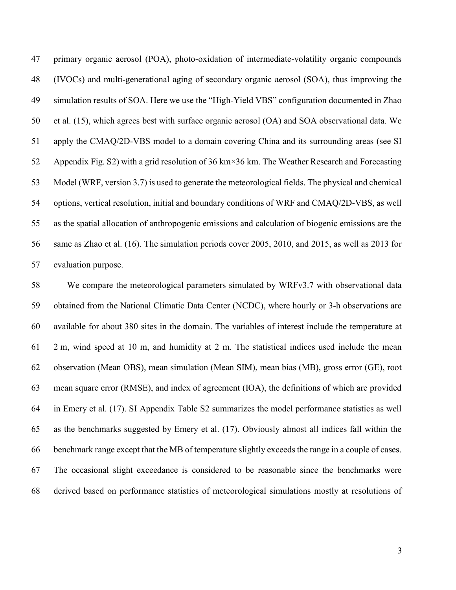47 primary organic aerosol (POA), photo-oxidation of intermediate-volatility organic compounds 48 (IVOCs) and multi-generational aging of secondary organic aerosol (SOA), thus improving the 49 simulation results of SOA. Here we use the "High-Yield VBS" configuration documented in Zhao 50 et al. (15), which agrees best with surface organic aerosol (OA) and SOA observational data. We 51 apply the CMAQ/2D-VBS model to a domain covering China and its surrounding areas (see SI 52 Appendix Fig. S2) with a grid resolution of 36 km×36 km. The Weather Research and Forecasting 53 Model (WRF, version 3.7) is used to generate the meteorological fields. The physical and chemical 54 options, vertical resolution, initial and boundary conditions of WRF and CMAQ/2D-VBS, as well 55 as the spatial allocation of anthropogenic emissions and calculation of biogenic emissions are the 56 same as Zhao et al. (16). The simulation periods cover 2005, 2010, and 2015, as well as 2013 for 57 evaluation purpose.

58 We compare the meteorological parameters simulated by WRFv3.7 with observational data 59 obtained from the National Climatic Data Center (NCDC), where hourly or 3-h observations are 60 available for about 380 sites in the domain. The variables of interest include the temperature at 61 2 m, wind speed at 10 m, and humidity at 2 m. The statistical indices used include the mean 62 observation (Mean OBS), mean simulation (Mean SIM), mean bias (MB), gross error (GE), root 63 mean square error (RMSE), and index of agreement (IOA), the definitions of which are provided 64 in Emery et al. (17). SI Appendix Table S2 summarizes the model performance statistics as well 65 as the benchmarks suggested by Emery et al. (17). Obviously almost all indices fall within the 66 benchmark range except that the MB of temperature slightly exceeds the range in a couple of cases. 67 The occasional slight exceedance is considered to be reasonable since the benchmarks were 68 derived based on performance statistics of meteorological simulations mostly at resolutions of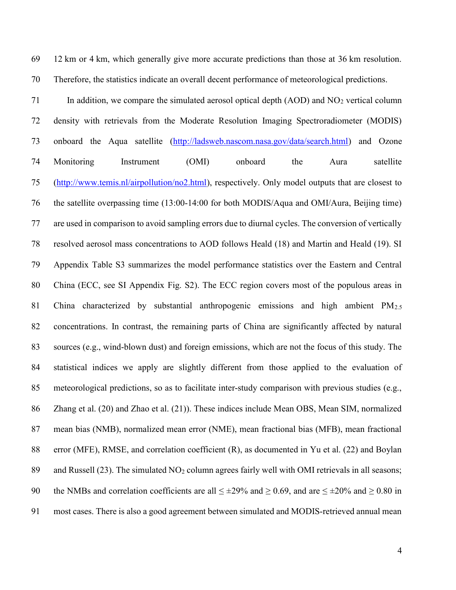69 12 km or 4 km, which generally give more accurate predictions than those at 36 km resolution. 70 Therefore, the statistics indicate an overall decent performance of meteorological predictions.

71 In addition, we compare the simulated aerosol optical depth  $(AOD)$  and  $NO<sub>2</sub>$  vertical column 72 density with retrievals from the Moderate Resolution Imaging Spectroradiometer (MODIS) 73 onboard the Aqua satellite (http://ladsweb.nascom.nasa.gov/data/search.html) and Ozone 74 Monitoring Instrument (OMI) onboard the Aura satellite 75 (http://www.temis.nl/airpollution/no2.html), respectively. Only model outputs that are closest to 76 the satellite overpassing time (13:00-14:00 for both MODIS/Aqua and OMI/Aura, Beijing time) 77 are used in comparison to avoid sampling errors due to diurnal cycles. The conversion of vertically 78 resolved aerosol mass concentrations to AOD follows Heald (18) and Martin and Heald (19). SI 79 Appendix Table S3 summarizes the model performance statistics over the Eastern and Central 80 China (ECC, see SI Appendix Fig. S2). The ECC region covers most of the populous areas in 81 China characterized by substantial anthropogenic emissions and high ambient  $PM_{2.5}$ 82 concentrations. In contrast, the remaining parts of China are significantly affected by natural 83 sources (e.g., wind-blown dust) and foreign emissions, which are not the focus of this study. The 84 statistical indices we apply are slightly different from those applied to the evaluation of 85 meteorological predictions, so as to facilitate inter-study comparison with previous studies (e.g., 86 Zhang et al. (20) and Zhao et al. (21)). These indices include Mean OBS, Mean SIM, normalized 87 mean bias (NMB), normalized mean error (NME), mean fractional bias (MFB), mean fractional 88 error (MFE), RMSE, and correlation coefficient (R), as documented in Yu et al. (22) and Boylan 89 and Russell  $(23)$ . The simulated NO<sub>2</sub> column agrees fairly well with OMI retrievals in all seasons; 90 the NMBs and correlation coefficients are all  $\leq \pm 29\%$  and  $\geq 0.69$ , and are  $\leq \pm 20\%$  and  $\geq 0.80$  in 91 most cases. There is also a good agreement between simulated and MODIS-retrieved annual mean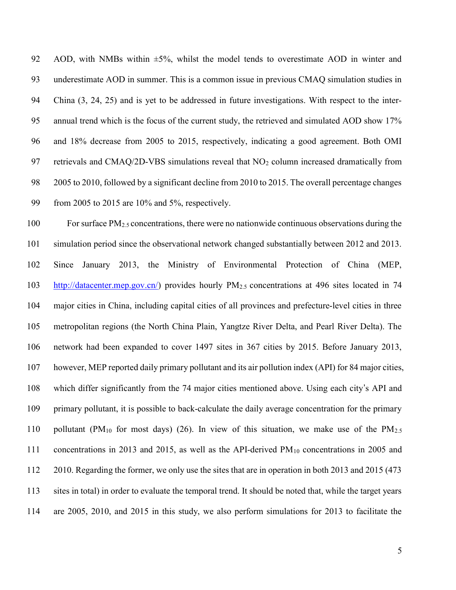92 AOD, with NMBs within  $\pm 5\%$ , whilst the model tends to overestimate AOD in winter and 93 underestimate AOD in summer. This is a common issue in previous CMAQ simulation studies in 94 China (3, 24, 25) and is yet to be addressed in future investigations. With respect to the inter-95 annual trend which is the focus of the current study, the retrieved and simulated AOD show 17% 96 and 18% decrease from 2005 to 2015, respectively, indicating a good agreement. Both OMI 97 retrievals and CMAQ/2D-VBS simulations reveal that NO2 column increased dramatically from 98 2005 to 2010, followed by a significant decline from 2010 to 2015. The overall percentage changes 99 from 2005 to 2015 are 10% and 5%, respectively.

100 For surface PM<sub>2.5</sub> concentrations, there were no nationwide continuous observations during the 101 simulation period since the observational network changed substantially between 2012 and 2013. 102 Since January 2013, the Ministry of Environmental Protection of China (MEP, 103 http://datacenter.mep.gov.cn/) provides hourly PM2.5 concentrations at 496 sites located in 74 104 major cities in China, including capital cities of all provinces and prefecture-level cities in three 105 metropolitan regions (the North China Plain, Yangtze River Delta, and Pearl River Delta). The 106 network had been expanded to cover 1497 sites in 367 cities by 2015. Before January 2013, 107 however, MEP reported daily primary pollutant and its air pollution index (API) for 84 major cities, 108 which differ significantly from the 74 major cities mentioned above. Using each city's API and 109 primary pollutant, it is possible to back-calculate the daily average concentration for the primary 110 pollutant (PM<sub>10</sub> for most days) (26). In view of this situation, we make use of the PM<sub>2.5</sub> 111 concentrations in 2013 and 2015, as well as the API-derived PM<sub>10</sub> concentrations in 2005 and 112 2010. Regarding the former, we only use the sites that are in operation in both 2013 and 2015 (473 113 sites in total) in order to evaluate the temporal trend. It should be noted that, while the target years 114 are 2005, 2010, and 2015 in this study, we also perform simulations for 2013 to facilitate the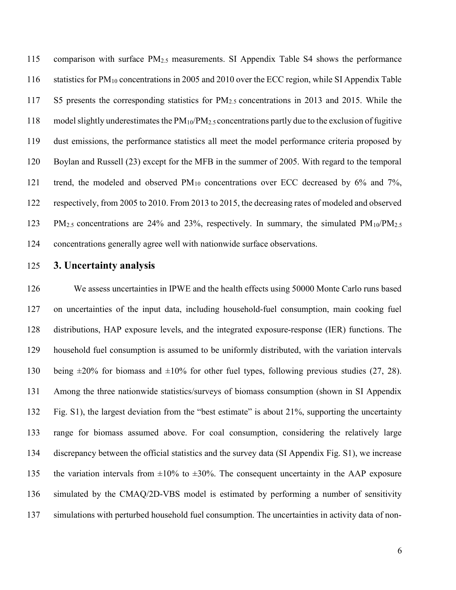115 comparison with surface PM2.5 measurements. SI Appendix Table S4 shows the performance 116 statistics for PM10 concentrations in 2005 and 2010 over the ECC region, while SI Appendix Table 117 S5 presents the corresponding statistics for PM2.5 concentrations in 2013 and 2015. While the 118 model slightly underestimates the  $PM_{10}/PM_{2.5}$  concentrations partly due to the exclusion of fugitive 119 dust emissions, the performance statistics all meet the model performance criteria proposed by 120 Boylan and Russell (23) except for the MFB in the summer of 2005. With regard to the temporal 121 trend, the modeled and observed  $PM_{10}$  concentrations over ECC decreased by 6% and 7%, 122 respectively, from 2005 to 2010. From 2013 to 2015, the decreasing rates of modeled and observed 123 PM2.5 concentrations are 24% and 23%, respectively. In summary, the simulated PM10/PM2.5 124 concentrations generally agree well with nationwide surface observations.

125 3. Uncertainty analysis

126 We assess uncertainties in IPWE and the health effects using 50000 Monte Carlo runs based 127 on uncertainties of the input data, including household-fuel consumption, main cooking fuel 128 distributions, HAP exposure levels, and the integrated exposure-response (IER) functions. The 129 household fuel consumption is assumed to be uniformly distributed, with the variation intervals 130 being  $\pm 20\%$  for biomass and  $\pm 10\%$  for other fuel types, following previous studies (27, 28). 131 Among the three nationwide statistics/surveys of biomass consumption (shown in SI Appendix 132 Fig. S1), the largest deviation from the "best estimate" is about 21%, supporting the uncertainty 133 range for biomass assumed above. For coal consumption, considering the relatively large 134 discrepancy between the official statistics and the survey data (SI Appendix Fig. S1), we increase 135 the variation intervals from  $\pm 10\%$  to  $\pm 30\%$ . The consequent uncertainty in the AAP exposure 136 simulated by the CMAQ/2D-VBS model is estimated by performing a number of sensitivity 137 simulations with perturbed household fuel consumption. The uncertainties in activity data of non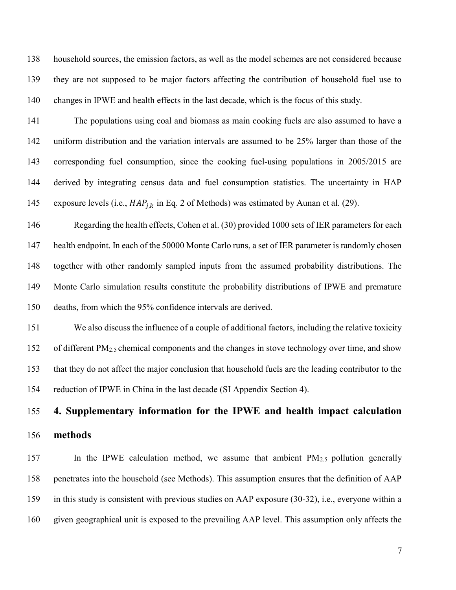138 household sources, the emission factors, as well as the model schemes are not considered because 139 they are not supposed to be major factors affecting the contribution of household fuel use to 140 changes in IPWE and health effects in the last decade, which is the focus of this study.

141 The populations using coal and biomass as main cooking fuels are also assumed to have a 142 uniform distribution and the variation intervals are assumed to be 25% larger than those of the 143 corresponding fuel consumption, since the cooking fuel-using populations in 2005/2015 are 144 derived by integrating census data and fuel consumption statistics. The uncertainty in HAP 145 exposure levels (i.e.,  $HAP_{i,k}$  in Eq. 2 of Methods) was estimated by Aunan et al. (29).

146 Regarding the health effects, Cohen et al. (30) provided 1000 sets of IER parameters for each 147 health endpoint. In each of the 50000 Monte Carlo runs, a set of IER parameter is randomly chosen 148 together with other randomly sampled inputs from the assumed probability distributions. The 149 Monte Carlo simulation results constitute the probability distributions of IPWE and premature 150 deaths, from which the 95% confidence intervals are derived.

151 We also discuss the influence of a couple of additional factors, including the relative toxicity 152 of different PM<sub>2.5</sub> chemical components and the changes in stove technology over time, and show 153 that they do not affect the major conclusion that household fuels are the leading contributor to the 154 reduction of IPWE in China in the last decade (SI Appendix Section 4).

# 155 4. Supplementary information for the IPWE and health impact calculation 156 methods

157 In the IPWE calculation method, we assume that ambient PM2.5 pollution generally 158 penetrates into the household (see Methods). This assumption ensures that the definition of AAP 159 in this study is consistent with previous studies on AAP exposure (30-32), i.e., everyone within a 160 given geographical unit is exposed to the prevailing AAP level. This assumption only affects the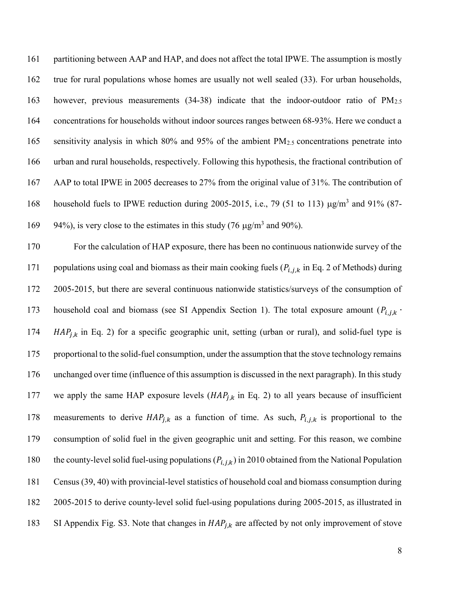161 partitioning between AAP and HAP, and does not affect the total IPWE. The assumption is mostly 162 true for rural populations whose homes are usually not well sealed (33). For urban households, 163 however, previous measurements (34-38) indicate that the indoor-outdoor ratio of PM2.5 164 concentrations for households without indoor sources ranges between 68-93%. Here we conduct a 165 sensitivity analysis in which 80% and 95% of the ambient  $PM_{2.5}$  concentrations penetrate into 166 urban and rural households, respectively. Following this hypothesis, the fractional contribution of 167 AAP to total IPWE in 2005 decreases to 27% from the original value of 31%. The contribution of household fuels to IPWE reduction during 2005-2015, i.e., 79 (51 to 113)  $\mu$ g/m<sup>3</sup> and 91% (87-169 94%), is very close to the estimates in this study (76  $\mu$ g/m<sup>3</sup> and 90%).

170 For the calculation of HAP exposure, there has been no continuous nationwide survey of the 171 populations using coal and biomass as their main cooking fuels  $(P_{i,j,k})$  in Eq. 2 of Methods) during 172 2005-2015, but there are several continuous nationwide statistics/surveys of the consumption of 173 household coal and biomass (see SI Appendix Section 1). The total exposure amount  $(P_{i,j,k}$ . 174  $HAP_{j,k}$  in Eq. 2) for a specific geographic unit, setting (urban or rural), and solid-fuel type is 175 proportional to the solid-fuel consumption, under the assumption that the stove technology remains 176 unchanged over time (influence of this assumption is discussed in the next paragraph). In this study 177 we apply the same HAP exposure levels  $(HAP<sub>j,k</sub>$  in Eq. 2) to all years because of insufficient 178 measurements to derive  $HAP_{j,k}$  as a function of time. As such,  $P_{i,j,k}$  is proportional to the 179 consumption of solid fuel in the given geographic unit and setting. For this reason, we combine 180 the county-level solid fuel-using populations  $(P_{i,j,k})$  in 2010 obtained from the National Population 181 Census (39, 40) with provincial-level statistics of household coal and biomass consumption during 182 2005-2015 to derive county-level solid fuel-using populations during 2005-2015, as illustrated in 183 SI Appendix Fig. S3. Note that changes in  $HAP_{j,k}$  are affected by not only improvement of stove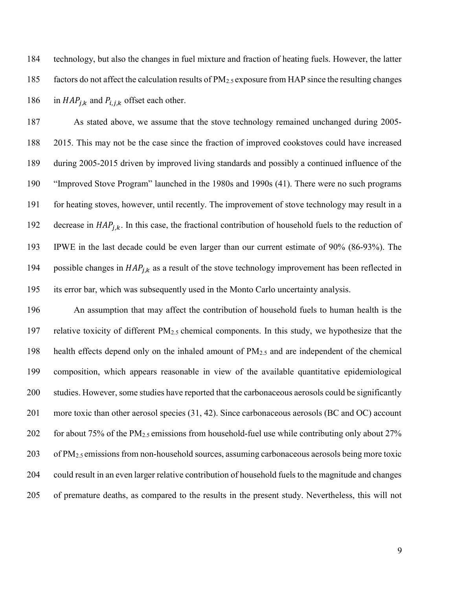184 technology, but also the changes in fuel mixture and fraction of heating fuels. However, the latter 185 factors do not affect the calculation results of  $PM_{2.5}$  exposure from HAP since the resulting changes 186 in  $HAP_{i,k}$  and  $P_{i,j,k}$  offset each other.

187 As stated above, we assume that the stove technology remained unchanged during 2005- 188 2015. This may not be the case since the fraction of improved cookstoves could have increased 189 during 2005-2015 driven by improved living standards and possibly a continued influence of the 190 "Improved Stove Program" launched in the 1980s and 1990s (41). There were no such programs 191 for heating stoves, however, until recently. The improvement of stove technology may result in a 192 decrease in  $HAP_{i,k}$ . In this case, the fractional contribution of household fuels to the reduction of 193 IPWE in the last decade could be even larger than our current estimate of 90% (86-93%). The 194 possible changes in  $HAP_{i,k}$  as a result of the stove technology improvement has been reflected in 195 its error bar, which was subsequently used in the Monto Carlo uncertainty analysis.

196 An assumption that may affect the contribution of household fuels to human health is the 197 relative toxicity of different  $PM_{2.5}$  chemical components. In this study, we hypothesize that the 198 health effects depend only on the inhaled amount of PM2.5 and are independent of the chemical 199 composition, which appears reasonable in view of the available quantitative epidemiological 200 studies. However, some studies have reported that the carbonaceous aerosols could be significantly 201 more toxic than other aerosol species (31, 42). Since carbonaceous aerosols (BC and OC) account 202 for about 75% of the  $PM_{2.5}$  emissions from household-fuel use while contributing only about 27% 203 of PM2.5 emissions from non-household sources, assuming carbonaceous aerosols being more toxic 204 could result in an even larger relative contribution of household fuels to the magnitude and changes 205 of premature deaths, as compared to the results in the present study. Nevertheless, this will not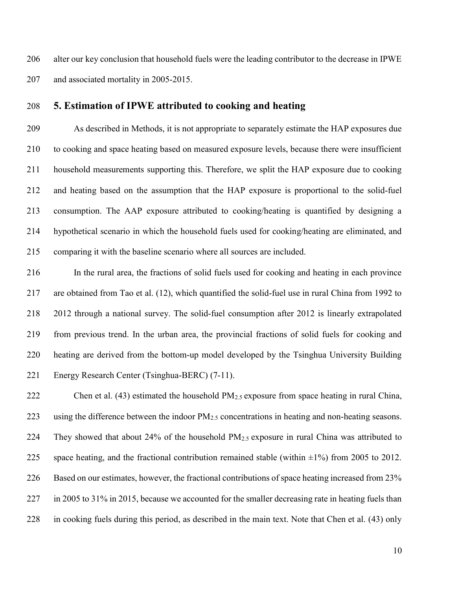206 alter our key conclusion that household fuels were the leading contributor to the decrease in IPWE 207 and associated mortality in 2005-2015.

#### 208 5. Estimation of IPWE attributed to cooking and heating

209 As described in Methods, it is not appropriate to separately estimate the HAP exposures due 210 to cooking and space heating based on measured exposure levels, because there were insufficient 211 household measurements supporting this. Therefore, we split the HAP exposure due to cooking 212 and heating based on the assumption that the HAP exposure is proportional to the solid-fuel 213 consumption. The AAP exposure attributed to cooking/heating is quantified by designing a 214 hypothetical scenario in which the household fuels used for cooking/heating are eliminated, and 215 comparing it with the baseline scenario where all sources are included.

216 In the rural area, the fractions of solid fuels used for cooking and heating in each province 217 are obtained from Tao et al. (12), which quantified the solid-fuel use in rural China from 1992 to 218 2012 through a national survey. The solid-fuel consumption after 2012 is linearly extrapolated 219 from previous trend. In the urban area, the provincial fractions of solid fuels for cooking and 220 heating are derived from the bottom-up model developed by the Tsinghua University Building 221 Energy Research Center (Tsinghua-BERC) (7-11).

222 Chen et al. (43) estimated the household  $PM<sub>2.5</sub>$  exposure from space heating in rural China, 223 using the difference between the indoor  $PM_{2.5}$  concentrations in heating and non-heating seasons. 224 They showed that about 24% of the household PM2.5 exposure in rural China was attributed to 225 space heating, and the fractional contribution remained stable (within  $\pm 1\%$ ) from 2005 to 2012. 226 Based on our estimates, however, the fractional contributions of space heating increased from 23% 227 in 2005 to 31% in 2015, because we accounted for the smaller decreasing rate in heating fuels than 228 in cooking fuels during this period, as described in the main text. Note that Chen et al. (43) only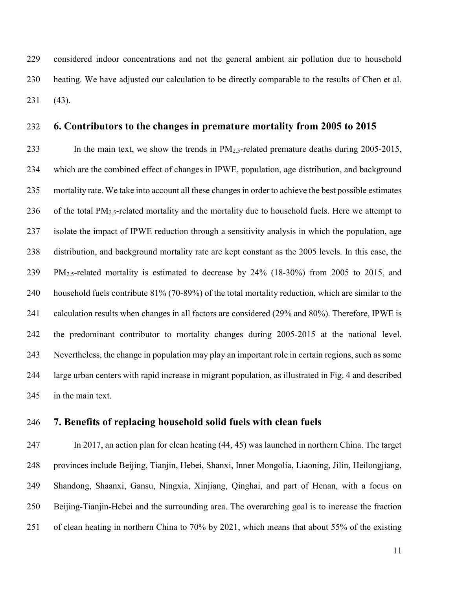229 considered indoor concentrations and not the general ambient air pollution due to household 230 heating. We have adjusted our calculation to be directly comparable to the results of Chen et al. 231 (43).

#### 232 6. Contributors to the changes in premature mortality from 2005 to 2015

233 In the main text, we show the trends in  $PM_{2.5}$ -related premature deaths during 2005-2015, 234 which are the combined effect of changes in IPWE, population, age distribution, and background 235 mortality rate. We take into account all these changes in order to achieve the best possible estimates 236 of the total  $PM_{2.5}$ -related mortality and the mortality due to household fuels. Here we attempt to 237 isolate the impact of IPWE reduction through a sensitivity analysis in which the population, age 238 distribution, and background mortality rate are kept constant as the 2005 levels. In this case, the 239 PM2.5-related mortality is estimated to decrease by 24% (18-30%) from 2005 to 2015, and 240 household fuels contribute 81% (70-89%) of the total mortality reduction, which are similar to the 241 calculation results when changes in all factors are considered (29% and 80%). Therefore, IPWE is 242 the predominant contributor to mortality changes during 2005-2015 at the national level. 243 Nevertheless, the change in population may play an important role in certain regions, such as some 244 large urban centers with rapid increase in migrant population, as illustrated in Fig. 4 and described 245 in the main text.

#### 246 7. Benefits of replacing household solid fuels with clean fuels

247 In 2017, an action plan for clean heating (44, 45) was launched in northern China. The target 248 provinces include Beijing, Tianjin, Hebei, Shanxi, Inner Mongolia, Liaoning, Jilin, Heilongjiang, 249 Shandong, Shaanxi, Gansu, Ningxia, Xinjiang, Qinghai, and part of Henan, with a focus on 250 Beijing-Tianjin-Hebei and the surrounding area. The overarching goal is to increase the fraction 251 of clean heating in northern China to 70% by 2021, which means that about 55% of the existing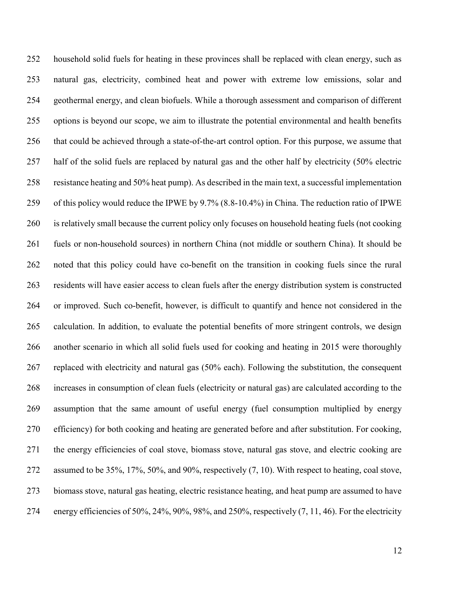252 household solid fuels for heating in these provinces shall be replaced with clean energy, such as 253 natural gas, electricity, combined heat and power with extreme low emissions, solar and 254 geothermal energy, and clean biofuels. While a thorough assessment and comparison of different 255 options is beyond our scope, we aim to illustrate the potential environmental and health benefits 256 that could be achieved through a state-of-the-art control option. For this purpose, we assume that 257 half of the solid fuels are replaced by natural gas and the other half by electricity (50% electric 258 resistance heating and 50% heat pump). As described in the main text, a successful implementation 259 of this policy would reduce the IPWE by 9.7% (8.8-10.4%) in China. The reduction ratio of IPWE 260 is relatively small because the current policy only focuses on household heating fuels (not cooking 261 fuels or non-household sources) in northern China (not middle or southern China). It should be 262 noted that this policy could have co-benefit on the transition in cooking fuels since the rural 263 residents will have easier access to clean fuels after the energy distribution system is constructed 264 or improved. Such co-benefit, however, is difficult to quantify and hence not considered in the 265 calculation. In addition, to evaluate the potential benefits of more stringent controls, we design 266 another scenario in which all solid fuels used for cooking and heating in 2015 were thoroughly 267 replaced with electricity and natural gas (50% each). Following the substitution, the consequent 268 increases in consumption of clean fuels (electricity or natural gas) are calculated according to the 269 assumption that the same amount of useful energy (fuel consumption multiplied by energy 270 efficiency) for both cooking and heating are generated before and after substitution. For cooking, 271 the energy efficiencies of coal stove, biomass stove, natural gas stove, and electric cooking are 272 assumed to be 35%, 17%, 50%, and 90%, respectively (7, 10). With respect to heating, coal stove, 273 biomass stove, natural gas heating, electric resistance heating, and heat pump are assumed to have 274 energy efficiencies of 50%, 24%, 90%, 98%, and 250%, respectively (7, 11, 46). For the electricity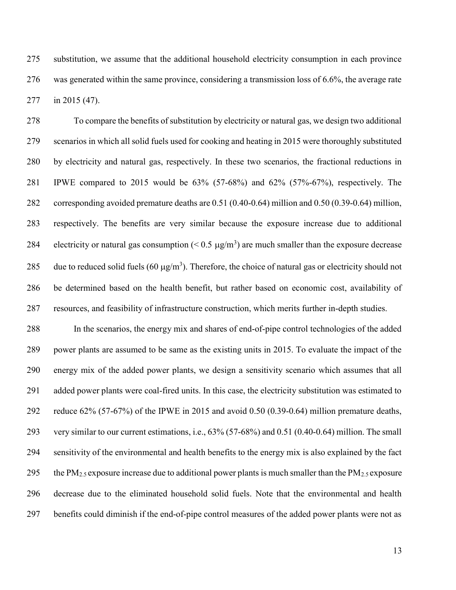275 substitution, we assume that the additional household electricity consumption in each province 276 was generated within the same province, considering a transmission loss of 6.6%, the average rate 277 in 2015 (47).

278 To compare the benefits of substitution by electricity or natural gas, we design two additional 279 scenarios in which all solid fuels used for cooking and heating in 2015 were thoroughly substituted 280 by electricity and natural gas, respectively. In these two scenarios, the fractional reductions in 281 IPWE compared to 2015 would be 63% (57-68%) and 62% (57%-67%), respectively. The 282 corresponding avoided premature deaths are 0.51 (0.40-0.64) million and 0.50 (0.39-0.64) million, 283 respectively. The benefits are very similar because the exposure increase due to additional 284 electricity or natural gas consumption  $(< 0.5 \mu g/m<sup>3</sup>)$  are much smaller than the exposure decrease 285 due to reduced solid fuels (60  $\mu$ g/m<sup>3</sup>). Therefore, the choice of natural gas or electricity should not 286 be determined based on the health benefit, but rather based on economic cost, availability of 287 resources, and feasibility of infrastructure construction, which merits further in-depth studies.

288 In the scenarios, the energy mix and shares of end-of-pipe control technologies of the added 289 power plants are assumed to be same as the existing units in 2015. To evaluate the impact of the 290 energy mix of the added power plants, we design a sensitivity scenario which assumes that all 291 added power plants were coal-fired units. In this case, the electricity substitution was estimated to 292 reduce 62% (57-67%) of the IPWE in 2015 and avoid 0.50 (0.39-0.64) million premature deaths, 293 very similar to our current estimations, i.e., 63% (57-68%) and 0.51 (0.40-0.64) million. The small 294 sensitivity of the environmental and health benefits to the energy mix is also explained by the fact 295 the PM<sub>2.5</sub> exposure increase due to additional power plants is much smaller than the PM<sub>2.5</sub> exposure 296 decrease due to the eliminated household solid fuels. Note that the environmental and health 297 benefits could diminish if the end-of-pipe control measures of the added power plants were not as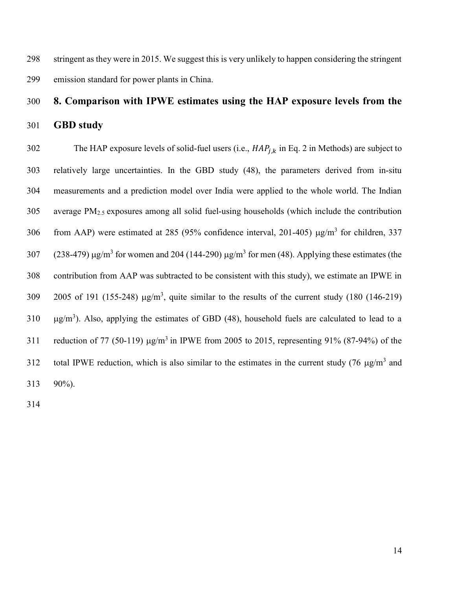298 stringent as they were in 2015. We suggest this is very unlikely to happen considering the stringent 299 emission standard for power plants in China.

# 300 8. Comparison with IPWE estimates using the HAP exposure levels from the

301 GBD study

302 The HAP exposure levels of solid-fuel users (i.e.,  $HAP_{i,k}$  in Eq. 2 in Methods) are subject to 303 relatively large uncertainties. In the GBD study (48), the parameters derived from in-situ 304 measurements and a prediction model over India were applied to the whole world. The Indian 305 average PM2.5 exposures among all solid fuel-using households (which include the contribution 306 from AAP) were estimated at 285 (95% confidence interval, 201-405)  $\mu$ g/m<sup>3</sup> for children, 337 307 (238-479)  $\mu$ g/m<sup>3</sup> for women and 204 (144-290)  $\mu$ g/m<sup>3</sup> for men (48). Applying these estimates (the 308 contribution from AAP was subtracted to be consistent with this study), we estimate an IPWE in 2005 of 191 (155-248)  $\mu$ g/m<sup>3</sup>, quite similar to the results of the current study (180 (146-219)  $g/m<sup>3</sup>$ ). Also, applying the estimates of GBD (48), household fuels are calculated to lead to a 311 reduction of 77 (50-119)  $\mu$ g/m<sup>3</sup> in IPWE from 2005 to 2015, representing 91% (87-94%) of the 312 total IPWE reduction, which is also similar to the estimates in the current study (76  $\mu$ g/m<sup>3</sup> and 313 90%).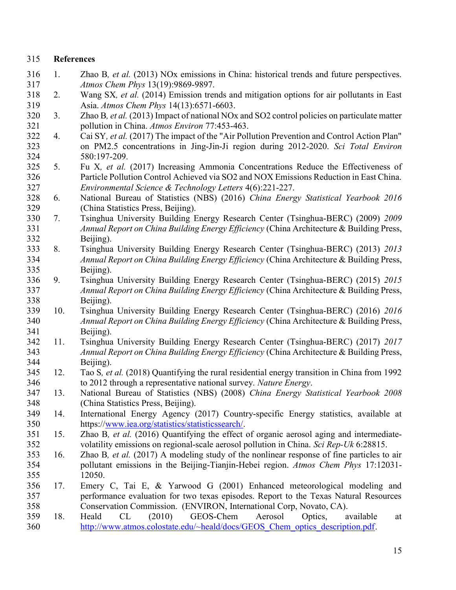#### 315 References

- 316 1. Zhao B, et al. (2013) NOx emissions in China: historical trends and future perspectives. 317 Atmos Chem Phys 13(19):9869-9897.
- 318 2. Wang SX, et al. (2014) Emission trends and mitigation options for air pollutants in East 319 Asia. Atmos Chem Phys 14(13):6571-6603.
- 320 3. Zhao B, et al. (2013) Impact of national NOx and SO2 control policies on particulate matter 321 pollution in China. Atmos Environ 77:453-463.
- 322 4. Cai SY, et al. (2017) The impact of the "Air Pollution Prevention and Control Action Plan" 323 on PM2.5 concentrations in Jing-Jin-Ji region during 2012-2020. Sci Total Environ 324 580:197-209.
- 325 5. Fu X, et al. (2017) Increasing Ammonia Concentrations Reduce the Effectiveness of 326 Particle Pollution Control Achieved via SO2 and NOX Emissions Reduction in East China. 327 Environmental Science & Technology Letters 4(6):221-227.
- 328 6. National Bureau of Statistics (NBS) (2016) China Energy Statistical Yearbook 2016 329 (China Statistics Press, Beijing).
- 330 7. Tsinghua University Building Energy Research Center (Tsinghua-BERC) (2009) 2009 331 Annual Report on China Building Energy Efficiency (China Architecture & Building Press, 332 Beijing).
- 333 8. Tsinghua University Building Energy Research Center (Tsinghua-BERC) (2013) 2013 334 *Annual Report on China Building Energy Efficiency* (China Architecture & Building Press, 335 Beijing).
- 336 9. Tsinghua University Building Energy Research Center (Tsinghua-BERC) (2015) 2015 337 Annual Report on China Building Energy Efficiency (China Architecture & Building Press, 338 Beijing).
- 339 10. Tsinghua University Building Energy Research Center (Tsinghua-BERC) (2016) 2016 340 Annual Report on China Building Energy Efficiency (China Architecture & Building Press, 341 Beijing).
- 342 11. Tsinghua University Building Energy Research Center (Tsinghua-BERC) (2017) 2017 343 Annual Report on China Building Energy Efficiency (China Architecture & Building Press, 344 Beijing).
- 345 12. Tao S, et al. (2018) Quantifying the rural residential energy transition in China from 1992 346 to 2012 through a representative national survey. Nature Energy.
- 347 13. National Bureau of Statistics (NBS) (2008) China Energy Statistical Yearbook 2008 348 (China Statistics Press, Beijing).
- 349 14. International Energy Agency (2017) Country-specific Energy statistics, available at 350 https://www.iea.org/statistics/statisticssearch/.
- 351 15. Zhao B, et al. (2016) Quantifying the effect of organic aerosol aging and intermediate-352 volatility emissions on regional-scale aerosol pollution in China. Sci Rep-Uk 6:28815.
- 353 16. Zhao B, et al. (2017) A modeling study of the nonlinear response of fine particles to air 354 pollutant emissions in the Beijing-Tianjin-Hebei region. Atmos Chem Phys 17:12031- 355 12050.
- 356 17. Emery C, Tai E, & Yarwood G (2001) Enhanced meteorological modeling and 357 performance evaluation for two texas episodes. Report to the Texas Natural Resources 358 Conservation Commission. (ENVIRON, International Corp, Novato, CA).
- 359 18. Heald CL (2010) GEOS-Chem Aerosol Optics, available at 360 http://www.atmos.colostate.edu/~heald/docs/GEOS Chem optics description.pdf.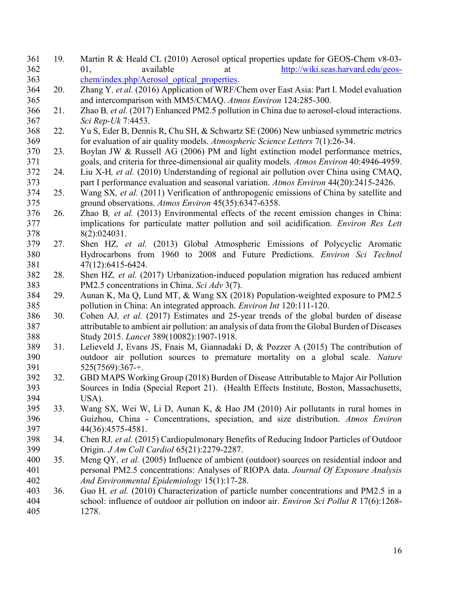361 19. Martin R & Heald CL (2010) Aerosol optical properties update for GEOS-Chem v8-03- 362 01, available at http://wiki.seas.harvard.edu/geos-363 chem/index.php/Aerosol optical properties. 364 20. Zhang Y, et al. (2016) Application of WRF/Chem over East Asia: Part I. Model evaluation 365 and intercomparison with MM5/CMAQ. Atmos Environ 124:285-300. 366 21. Zhao B, et al. (2017) Enhanced PM2.5 pollution in China due to aerosol-cloud interactions. 367 Sci Rep-Uk 7:4453. 368 22. Yu S, Eder B, Dennis R, Chu SH, & Schwartz SE (2006) New unbiased symmetric metrics 369 for evaluation of air quality models. Atmospheric Science Letters 7(1):26-34. 370 23. Boylan JW & Russell AG (2006) PM and light extinction model performance metrics, 371 goals, and criteria for three-dimensional air quality models. Atmos Environ 40:4946-4959. 372 24. Liu X-H, et al. (2010) Understanding of regional air pollution over China using CMAQ, 373 part I performance evaluation and seasonal variation. Atmos Environ 44(20):2415-2426. 374 25. Wang SX, et al. (2011) Verification of anthropogenic emissions of China by satellite and 375 ground observations. Atmos Environ 45(35):6347-6358. 376 26. Zhao B, et al. (2013) Environmental effects of the recent emission changes in China: 377 implications for particulate matter pollution and soil acidification. *Environ Res Lett* 378 8(2):024031. 379 27. Shen HZ, et al. (2013) Global Atmospheric Emissions of Polycyclic Aromatic 380 Hydrocarbons from 1960 to 2008 and Future Predictions. Environ Sci Technol 381 47(12):6415-6424. 382 28. Shen HZ, et al. (2017) Urbanization-induced population migration has reduced ambient 383 PM2.5 concentrations in China. Sci Adv 3(7). 384 29. Aunan K, Ma Q, Lund MT, & Wang SX (2018) Population-weighted exposure to PM2.5 385 pollution in China: An integrated approach. Environ Int 120:111-120. 386 30. Cohen AJ, et al. (2017) Estimates and 25-year trends of the global burden of disease 387 attributable to ambient air pollution: an analysis of data from the Global Burden of Diseases 388 Study 2015. Lancet 389(10082):1907-1918. 389 31. Lelieveld J, Evans JS, Fnais M, Giannadaki D, & Pozzer A (2015) The contribution of 390 outdoor air pollution sources to premature mortality on a global scale. Nature 391 525(7569):367-+. 392 32. GBD MAPS Working Group (2018) Burden of Disease Attributable to Major Air Pollution 393 Sources in India (Special Report 21). (Health Effects Institute, Boston, Massachusetts, 394 USA). 395 33. Wang SX, Wei W, Li D, Aunan K, & Hao JM (2010) Air pollutants in rural homes in 396 Guizhou, China - Concentrations, speciation, and size distribution. Atmos Environ 397 44(36):4575-4581. 398 34. Chen RJ, et al. (2015) Cardiopulmonary Benefits of Reducing Indoor Particles of Outdoor 399 Origin. J Am Coll Cardiol 65(21):2279-2287. 400 35. Meng OY, et al. (2005) Influence of ambient (outdoor) sources on residential indoor and 401 personal PM2.5 concentrations: Analyses of RIOPA data. Journal Of Exposure Analysis 402 And Environmental Epidemiology 15(1):17-28. 403 36. Guo H, et al. (2010) Characterization of particle number concentrations and PM2.5 in a 404 school: influence of outdoor air pollution on indoor air. Environ Sci Pollut R 17(6):1268- 405 1278.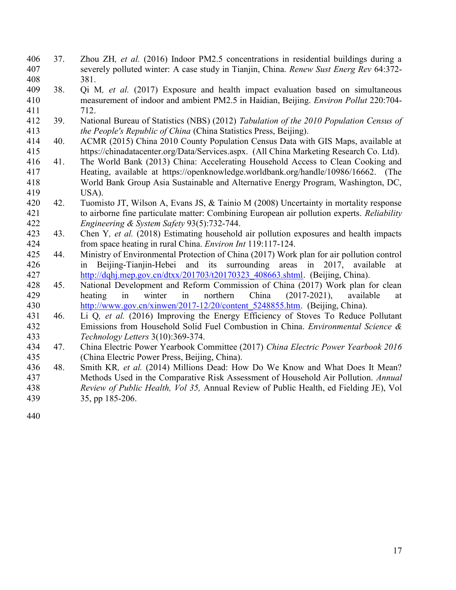- 406 37. Zhou ZH, et al. (2016) Indoor PM2.5 concentrations in residential buildings during a 407 severely polluted winter: A case study in Tianjin, China. Renew Sust Energ Rev 64:372- 408 381.
- 409 38. Qi M, et al. (2017) Exposure and health impact evaluation based on simultaneous 410 measurement of indoor and ambient PM2.5 in Haidian, Beijing. Environ Pollut 220:704- 411 712.
- 412 39. National Bureau of Statistics (NBS) (2012) Tabulation of the 2010 Population Census of 413 the People's Republic of China (China Statistics Press, Beijing).
- 414 40. ACMR (2015) China 2010 County Population Census Data with GIS Maps, available at 415 https://chinadatacenter.org/Data/Services.aspx. (All China Marketing Research Co. Ltd).
- 416 41. The World Bank (2013) China: Accelerating Household Access to Clean Cooking and 417 Heating, available at https://openknowledge.worldbank.org/handle/10986/16662. (The 418 World Bank Group Asia Sustainable and Alternative Energy Program, Washington, DC, 419 USA).
- 420 42. Tuomisto JT, Wilson A, Evans JS, & Tainio M (2008) Uncertainty in mortality response 421 to airborne fine particulate matter: Combining European air pollution experts. Reliability 422 Engineering & System Safety 93(5):732-744.
- 423 43. Chen Y, et al. (2018) Estimating household air pollution exposures and health impacts 424 from space heating in rural China. Environ Int 119:117-124.
- 425 44. Ministry of Environmental Protection of China (2017) Work plan for air pollution control 426 in Beijing-Tianjin-Hebei and its surrounding areas in 2017, available at 427 http://dqhj.mep.gov.cn/dtxx/201703/t20170323\_408663.shtml. (Beijing, China).
- 428 45. National Development and Reform Commission of China (2017) Work plan for clean 429 heating in winter in northern China (2017-2021), available at 430 http://www.gov.cn/xinwen/2017-12/20/content 5248855.htm. (Beijing, China).
- 431 46. Li Q, et al. (2016) Improving the Energy Efficiency of Stoves To Reduce Pollutant 432 Emissions from Household Solid Fuel Combustion in China. Environmental Science & 433 Technology Letters 3(10):369-374.
- 434 47. China Electric Power Yearbook Committee (2017) China Electric Power Yearbook 2016 435 (China Electric Power Press, Beijing, China).
- 436 48. Smith KR, et al. (2014) Millions Dead: How Do We Know and What Does It Mean? 437 Methods Used in the Comparative Risk Assessment of Household Air Pollution. Annual 438 Review of Public Health, Vol 35, Annual Review of Public Health, ed Fielding JE), Vol 439 35, pp 185-206.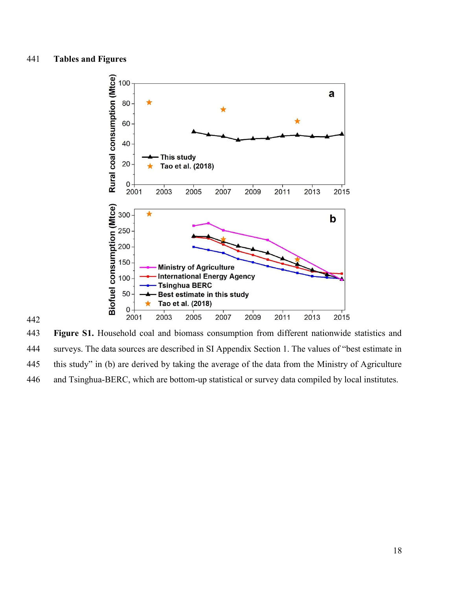

443 Figure S1. Household coal and biomass consumption from different nationwide statistics and 444 surveys. The data sources are described in SI Appendix Section 1. The values of "best estimate in 445 this study" in (b) are derived by taking the average of the data from the Ministry of Agriculture 446 and Tsinghua-BERC, which are bottom-up statistical or survey data compiled by local institutes.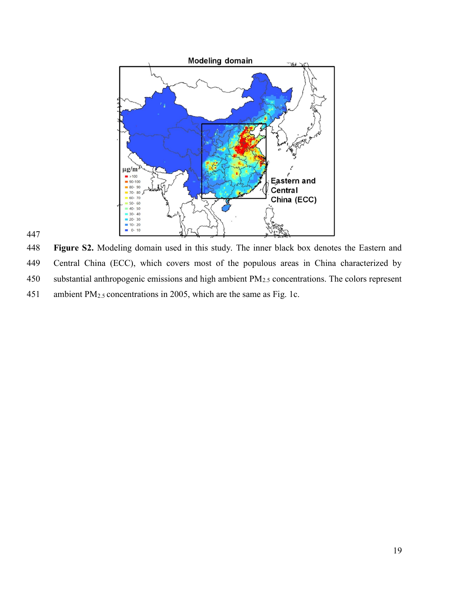

448 Figure S2. Modeling domain used in this study. The inner black box denotes the Eastern and 449 Central China (ECC), which covers most of the populous areas in China characterized by 450 substantial anthropogenic emissions and high ambient PM<sub>2.5</sub> concentrations. The colors represent 451 ambient PM2.5 concentrations in 2005, which are the same as Fig. 1c.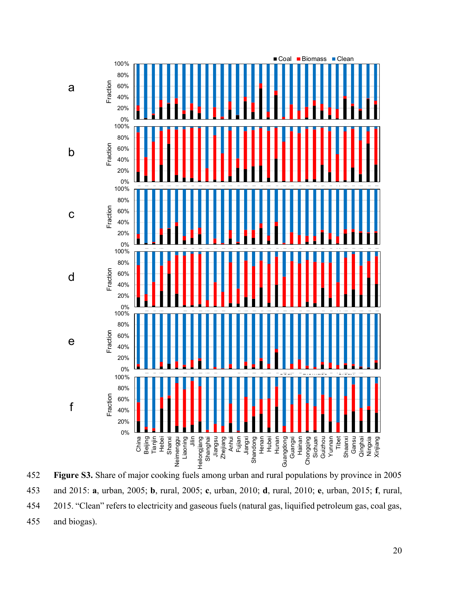

452 Figure S3. Share of major cooking fuels among urban and rural populations by province in 2005 453 and 2015: a, urban, 2005; b, rural, 2005; c, urban, 2010; d, rural, 2010; e, urban, 2015; f, rural, 454 2015. "Clean" refers to electricity and gaseous fuels (natural gas, liquified petroleum gas, coal gas, 455 and biogas).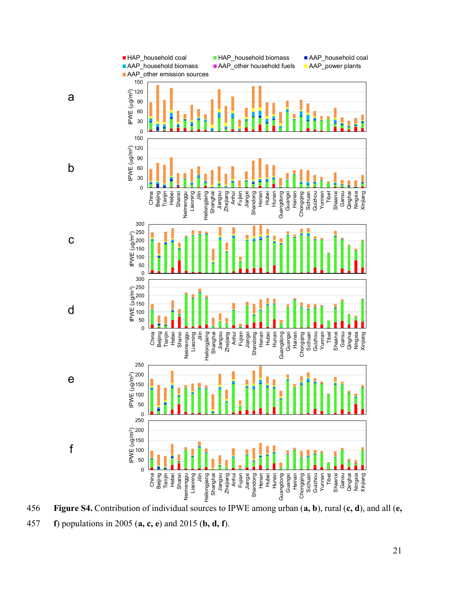

456 Figure S4. Contribution of individual sources to IPWE among urban  $(a, b)$ , rural  $(c, d)$ , and all  $(e, d)$ f) populations in 2005 (a, c, e) and 2015 (b, d, f).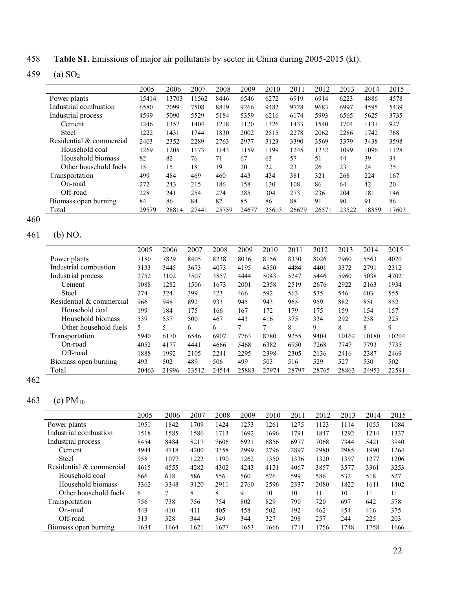458 Table S1. Emissions of major air pollutants by sector in China during 2005-2015 (kt).

459 (a) SO<sup>2</sup>

|                          | 2005  | 2006  | 2007  | 2008  | 2009  | 2010  | 2011  | 2012  | 2013  | 2014  | 2015  |
|--------------------------|-------|-------|-------|-------|-------|-------|-------|-------|-------|-------|-------|
| Power plants             | 15414 | 13703 | 11562 | 8446  | 6546  | 6272  | 6919  | 6914  | 6223  | 4886  | 4578  |
| Industrial combustion    | 6580  | 7099  | 7508  | 8819  | 9266  | 9482  | 9728  | 9683  | 6997  | 4595  | 5439  |
| Industrial process       | 4599  | 5090  | 5529  | 5184  | 5359  | 6216  | 6174  | 5993  | 6565  | 5625  | 3735  |
| Cement                   | 1246  | 1357  | 1404  | 1218  | 1120  | 1326  | 1433  | 1540  | 1704  | 1131  | 927   |
| <b>Steel</b>             | 1222  | 1431  | 1744  | 1830  | 2002  | 2515  | 2278  | 2062  | 2286  | 1742  | 768   |
| Residential & commercial | 2403  | 2352  | 2289  | 2763  | 2977  | 3123  | 3390  | 3569  | 3379  | 3438  | 3598  |
| Household coal           | 1269  | 1205  | 1173  | 1143  | 1159  | 1199  | 1245  | 1232  | 1099  | 1096  | 1128  |
| Household biomass        | 82    | 82    | 76    | 71    | 67    | 63    | 57    | 51    | 44    | 39    | 34    |
| Other household fuels    | 15    | 15    | 18    | 19    | 20    | 22    | 23    | 26    | 23    | 24    | 25    |
| Transportation           | 499   | 484   | 469   | 460   | 443   | 434   | 381   | 321   | 268   | 224   | 167   |
| On-road                  | 272   | 243   | 215   | 186   | 158   | 130   | 108   | 86    | 64    | 42    | 20    |
| Off-road                 | 228   | 241   | 254   | 274   | 285   | 304   | 273   | 236   | 204   | 181   | 146   |
| Biomass open burning     | 84    | 86    | 84    | 87    | 85    | 86    | 88    | 91    | 90    | 91    | 86    |
| Total                    | 29579 | 28814 | 27441 | 25759 | 24677 | 25613 | 26679 | 26571 | 23522 | 18859 | 17603 |

460

## 461 (b)  $NO_x$

|                          | 2005  | 2006  | 2007  | 2008  | 2009  | 2010  | 2011  | 2012  | 2013  | 2014  | 2015  |
|--------------------------|-------|-------|-------|-------|-------|-------|-------|-------|-------|-------|-------|
| Power plants             | 7180  | 7829  | 8405  | 8238  | 8036  | 8156  | 8330  | 8026  | 7960  | 5563  | 4020  |
| Industrial combustion    | 3133  | 3445  | 3673  | 4073  | 4195  | 4550  | 4484  | 4401  | 3372  | 2791  | 2312  |
| Industrial process       | 2752  | 3102  | 3507  | 3857  | 4444  | 5043  | 5247  | 5446  | 5960  | 5038  | 4702  |
| Cement                   | 1088  | 1282  | 1506  | 1673  | 2001  | 2358  | 2519  | 2676  | 2922  | 2163  | 1934  |
| <b>Steel</b>             | 274   | 324   | 399   | 423   | 466   | 592   | 563   | 535   | 546   | 603   | 555   |
| Residential & commercial | 966   | 948   | 892   | 933   | 945   | 943   | 965   | 959   | 882   | 851   | 852   |
| Household coal           | 199   | 184   | 175   | 166   | 167   | 172   | 179   | 175   | 159   | 154   | 157   |
| Household biomass        | 539   | 537   | 500   | 467   | 443   | 416   | 375   | 334   | 292   | 258   | 225   |
| Other household fuels    | 5     | 5     | 6     | 6     |       |       | 8     | 9     | 8     | 8     | 9     |
| Transportation           | 5940  | 6170  | 6546  | 6907  | 7763  | 8780  | 9255  | 9404  | 10162 | 10180 | 10204 |
| On-road                  | 4052  | 4177  | 4441  | 4666  | 5468  | 6382  | 6950  | 7268  | 7747  | 7793  | 7735  |
| Off-road                 | 1888  | 1992  | 2105  | 2241  | 2295  | 2398  | 2305  | 2136  | 2416  | 2387  | 2469  |
| Biomass open burning     | 493   | 502   | 489   | 506   | 499   | 503   | 516   | 529   | 527   | 530   | 502   |
| Total                    | 20463 | 21996 | 23512 | 24514 | 25883 | 27974 | 28797 | 28765 | 28863 | 24953 | 22591 |

462

## 463 (c) PM<sup>10</sup>

|                          | 2005 | 2006 | 2007 | 2008 | 2009 | 2010 | 2011 | 2012 | 2013 | 2014 | 2015 |
|--------------------------|------|------|------|------|------|------|------|------|------|------|------|
| Power plants             | 1951 | 1842 | 1709 | 1424 | 1253 | 1261 | 1275 | 1123 | 1114 | 1055 | 1084 |
| Industrial combustion    | 1518 | 1585 | 1586 | 1713 | 1692 | 1696 | 1791 | 1847 | 1292 | 1214 | 1337 |
| Industrial process       | 8454 | 8484 | 8217 | 7606 | 6921 | 6856 | 6977 | 7068 | 7344 | 5421 | 3940 |
| Cement                   | 4944 | 4718 | 4200 | 3358 | 2999 | 2796 | 2897 | 2980 | 2985 | 1990 | 1264 |
| Steel                    | 958  | 1077 | 1222 | 1190 | 1262 | 1350 | 1336 | 1320 | 1397 | 1277 | 1206 |
| Residential & commercial | 4615 | 4555 | 4282 | 4302 | 4243 | 4121 | 4067 | 3857 | 3577 | 3361 | 3253 |
| Household coal           | 666  | 618  | 586  | 556  | 560  | 576  | 599  | 586  | 532  | 518  | 527  |
| Household biomass        | 3362 | 3348 | 3120 | 2911 | 2760 | 2596 | 2337 | 2080 | 1822 | 1611 | 1402 |
| Other household fuels    | 6    | 7    | 8    | 8    | 9    | 10   | 10   | 11   | 10   | 11   | 11   |
| Transportation           | 756  | 738  | 756  | 754  | 802  | 829  | 790  | 720  | 697  | 642  | 578  |
| On-road                  | 443  | 410  | 411  | 405  | 458  | 502  | 492  | 462  | 454  | 416  | 375  |
| Off-road                 | 313  | 328  | 344  | 349  | 344  | 327  | 298  | 257  | 244  | 225  | 203  |
| Biomass open burning     | 1634 | 1664 | 1621 | 1677 | 1653 | 1666 | 1711 | 1756 | 1748 | 1758 | 1666 |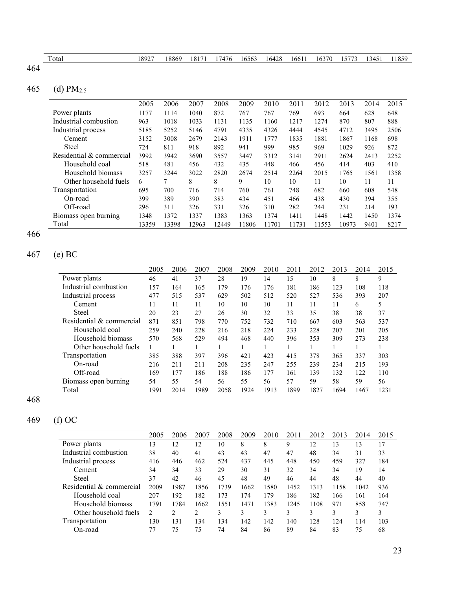| otal | 18927 | 18869 | 18171 | 17476 | 16563 | 16428 | 16611 | 16370 | 15773 | 13451 | 11859 |
|------|-------|-------|-------|-------|-------|-------|-------|-------|-------|-------|-------|
|      |       |       |       |       |       |       |       |       |       |       |       |

## 465 (d) PM2.5

|                          | 2005  | 2006  | 2007  | 2008  | 2009  | 2010  | 2011  | 2012  | 2013  | 2014 | 2015 |
|--------------------------|-------|-------|-------|-------|-------|-------|-------|-------|-------|------|------|
| Power plants             | 1177  | 1114  | 1040  | 872   | 767   | 767   | 769   | 693   | 664   | 628  | 648  |
| Industrial combustion    | 963   | 1018  | 1033  | 1131  | 1135  | 1160  | 1217  | 1274  | 870   | 807  | 888  |
| Industrial process       | 5185  | 5252  | 5146  | 4791  | 4335  | 4326  | 4444  | 4545  | 4712  | 3495 | 2506 |
| Cement                   | 3152  | 3008  | 2679  | 2143  | 1911  | 1777  | 1835  | 1881  | 1867  | 1168 | 698  |
| Steel                    | 724   | 811   | 918   | 892   | 941   | 999   | 985   | 969   | 1029  | 926  | 872  |
| Residential & commercial | 3992  | 3942  | 3690  | 3557  | 3447  | 3312  | 3141  | 2911  | 2624  | 2413 | 2252 |
| Household coal           | 518   | 481   | 456   | 432   | 435   | 448   | 466   | 456   | 414   | 403  | 410  |
| Household biomass        | 3257  | 3244  | 3022  | 2820  | 2674  | 2514  | 2264  | 2015  | 1765  | 1561 | 1358 |
| Other household fuels    | 6     | 7     | 8     | 8     | 9     | 10    | 10    | 11    | 10    | 11   | 11   |
| Transportation           | 695   | 700   | 716   | 714   | 760   | 761   | 748   | 682   | 660   | 608  | 548  |
| On-road                  | 399   | 389   | 390   | 383   | 434   | 451   | 466   | 438   | 430   | 394  | 355  |
| Off-road                 | 296   | 311   | 326   | 331   | 326   | 310   | 282   | 244   | 231   | 214  | 193  |
| Biomass open burning     | 1348  | 1372  | 1337  | 1383  | 1363  | 1374  | 1411  | 1448  | 1442  | 1450 | 1374 |
| Total                    | 13359 | 13398 | 12963 | 12449 | 11806 | 11701 | 11731 | 11553 | 10973 | 9401 | 8217 |

466

## 467 (e) BC

|                          | 2005 | 2006 | 2007 | 2008 | 2009 | 2010 | 2011 | 2012 | 2013 | 2014 | 2015 |
|--------------------------|------|------|------|------|------|------|------|------|------|------|------|
| Power plants             | 46   | 41   | 37   | 28   | 19   | 14   | 15   | 10   | 8    | 8    | 9    |
| Industrial combustion    | 157  | 164  | 165  | 179  | 176  | 176  | 181  | 186  | 123  | 108  | 118  |
| Industrial process       | 477  | 515  | 537  | 629  | 502  | 512  | 520  | 527  | 536  | 393  | 207  |
| Cement                   | 11   | 11   | 11   | 10   | 10   | 10   | 11   | 11   | 11   | 6    | 5    |
| <b>Steel</b>             | 20   | 23   | 27   | 26   | 30   | 32   | 33   | 35   | 38   | 38   | 37   |
| Residential & commercial | 871  | 851  | 798  | 770  | 752  | 732  | 710  | 667  | 603  | 563  | 537  |
| Household coal           | 259  | 240  | 228  | 216  | 218  | 224  | 233  | 228  | 207  | 201  | 205  |
| Household biomass        | 570  | 568  | 529  | 494  | 468  | 440  | 396  | 353  | 309  | 273  | 238  |
| Other household fuels    | 1    |      |      |      |      |      |      |      |      |      |      |
| Transportation           | 385  | 388  | 397  | 396  | 421  | 423  | 415  | 378  | 365  | 337  | 303  |
| On-road                  | 216  | 211  | 211  | 208  | 235  | 247  | 255  | 239  | 234  | 215  | 193  |
| Off-road                 | 169  | 177  | 186  | 188  | 186  | 177  | 161  | 139  | 132  | 122  | 110  |
| Biomass open burning     | 54   | 55   | 54   | 56   | 55   | 56   | 57   | 59   | 58   | 59   | 56   |
| Total                    | 1991 | 2014 | 1989 | 2058 | 1924 | 1913 | 1899 | 1827 | 1694 | 1467 | 1231 |

468

# 469 (f) OC

|                          | 2005           | 2006 | 2007           | 2008 | 2009 | 2010 | 2011 | 2012 | 2013 | 2014 | 2015 |
|--------------------------|----------------|------|----------------|------|------|------|------|------|------|------|------|
| Power plants             | 13             | 12   | 12             | 10   | 8    | 8    | 9    | 12   | 13   | 13   | 17   |
| Industrial combustion    | 38             | 40   | 41             | 43   | 43   | 47   | 47   | 48   | 34   | 31   | 33   |
| Industrial process       | 416            | 446  | 462            | 524  | 437  | 445  | 448  | 450  | 459  | 327  | 184  |
| Cement                   | 34             | 34   | 33             | 29   | 30   | 31   | 32   | 34   | 34   | 19   | 14   |
| Steel                    | 37             | 42   | 46             | 45   | 48   | 49   | 46   | 44   | 48   | 44   | 40   |
| Residential & commercial | 2009           | 1987 | 1856           | 1739 | 1662 | 1580 | 1452 | 1313 | 1158 | 1042 | 936  |
| Household coal           | 207            | 192  | 182            | 173  | 174  | 179  | 186  | 182  | 166  | 161  | 164  |
| Household biomass        | 1791           | 1784 | 1662           | 1551 | 1471 | 1383 | 1245 | 1108 | 971  | 858  | 747  |
| Other household fuels    | $\mathfrak{D}$ | 2    | $\mathfrak{D}$ | 3    | 3    |      | 3    | 3    | 3    | 3    |      |
| Transportation           | 130            | 131  | 134            | 134  | 142  | 142  | 140  | 128  | 124  | 114  | 103  |
| On-road                  |                | 75   | 75             | 74   | 84   | 86   | 89   | 84   | 83   | 75   | 68   |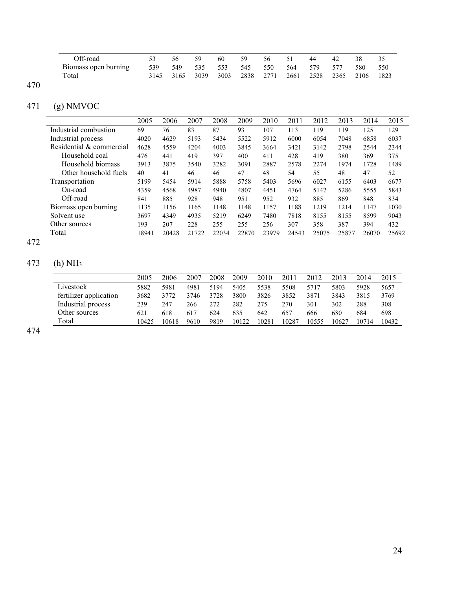| Off-road             |      |      | 59   | 60   | 59   | 56   |      | 44   | 42   | 38   |      |
|----------------------|------|------|------|------|------|------|------|------|------|------|------|
| Biomass open burning | 539  | 549  | 535  | 553  | 545  | 550  | 564  | 579  | 577  | 580  | 550  |
| Total                | 3145 | 3165 | 3039 | 3003 | 2838 | 2771 | 2661 | 2528 | 2365 | 2106 | 1823 |

## 471 (g) NMVOC

|                          | 2005  | 2006  | 2007  | 2008  | 2009  | 2010  | 2011  | 2012  | 2013  | 2014  | 2015  |
|--------------------------|-------|-------|-------|-------|-------|-------|-------|-------|-------|-------|-------|
| Industrial combustion    | 69    | 76    | 83    | 87    | 93    | 107   | 113   | 119   | 119   | 125   | 129   |
| Industrial process       | 4020  | 4629  | 5193  | 5434  | 5522  | 5912  | 6000  | 6054  | 7048  | 6858  | 6037  |
| Residential & commercial | 4628  | 4559  | 4204  | 4003  | 3845  | 3664  | 3421  | 3142  | 2798  | 2544  | 2344  |
| Household coal           | 476   | 441   | 419   | 397   | 400   | 411   | 428   | 419   | 380   | 369   | 375   |
| Household biomass        | 3913  | 3875  | 3540  | 3282  | 3091  | 2887  | 2578  | 2274  | 1974  | 1728  | 1489  |
| Other household fuels    | 40    | 41    | 46    | 46    | 47    | 48    | 54    | 55    | 48    | 47    | 52    |
| Transportation           | 5199  | 5454  | 5914  | 5888  | 5758  | 5403  | 5696  | 6027  | 6155  | 6403  | 6677  |
| On-road                  | 4359  | 4568  | 4987  | 4940  | 4807  | 4451  | 4764  | 5142  | 5286  | 5555  | 5843  |
| Off-road                 | 841   | 885   | 928   | 948   | 951   | 952   | 932   | 885   | 869   | 848   | 834   |
| Biomass open burning     | 1135  | 1156  | 1165  | 1148  | 1148  | 1157  | 1188  | 1219  | 1214  | 1147  | 1030  |
| Solvent use              | 3697  | 4349  | 4935  | 5219  | 6249  | 7480  | 7818  | 8155  | 8155  | 8599  | 9043  |
| Other sources            | 193   | 207   | 228   | 255   | 255   | 256   | 307   | 358   | 387   | 394   | 432   |
| Total                    | 18941 | 20428 | 21722 | 22034 | 22870 | 23979 | 24543 | 25075 | 25877 | 26070 | 25692 |

#### 472

## 473 (h) NH<sup>3</sup>

|                        | 2005  | 2006  | 2007 | 2008 | 2009  | 2010  | 2011  | 2012  | 2013  | 2014  | 2015  |
|------------------------|-------|-------|------|------|-------|-------|-------|-------|-------|-------|-------|
| Livestock              | 5882  | 5981  | 4981 | 5194 | 5405  | 5538  | 5508  | 5717  | 5803  | 5928  | 5657  |
| fertilizer application | 3682  | 3772  | 3746 | 3728 | 3800  | 3826  | 3852  | 3871  | 3843  | 3815  | 3769  |
| Industrial process     | 239   | 247   | 266  | 272  | 282   | 275   | 270   | 301   | 302   | 288   | 308   |
| Other sources          | 621   | 618   | 617  | 624  | 635   | 642   | 657   | 666   | 680   | 684   | 698   |
| Total                  | 10425 | 10618 | 9610 | 9819 | 10122 | 10281 | 10287 | 10555 | 10627 | 10714 | 10432 |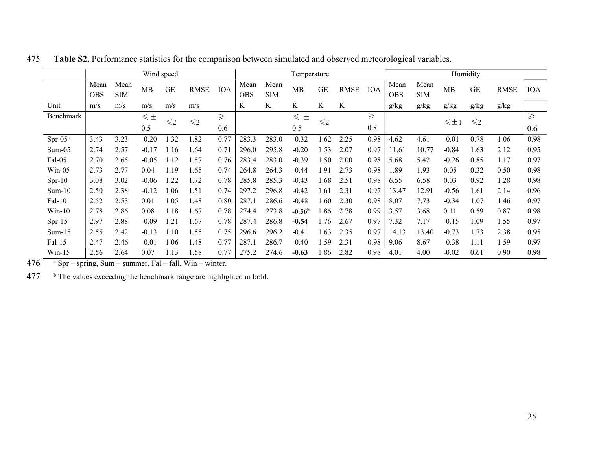|            |                    |                    |            | Wind speed |             |            |                    |                    | Temperature |          |             |             |                    |                    |                   | Humidity      |             |            |
|------------|--------------------|--------------------|------------|------------|-------------|------------|--------------------|--------------------|-------------|----------|-------------|-------------|--------------------|--------------------|-------------------|---------------|-------------|------------|
|            | Mean<br><b>OBS</b> | Mean<br><b>SIM</b> | MB         | GE         | <b>RMSE</b> | <b>IOA</b> | Mean<br><b>OBS</b> | Mean<br><b>SIM</b> | MB          | GE       | <b>RMSE</b> | <b>IOA</b>  | Mean<br><b>OBS</b> | Mean<br><b>SIM</b> | <b>MB</b>         | <b>GE</b>     | <b>RMSE</b> | <b>IOA</b> |
| Unit       | m/s                | m/s                | m/s        | m/s        | m/s         |            | K                  | K                  | K           | K        | K           |             | g/kg               | g/kg               | g/kg              | g/kg          | g/kg        |            |
| Benchmark  |                    |                    | $\leq \pm$ |            |             | $\geq$     |                    |                    | $\leq$<br>土 |          |             | $\geqslant$ |                    |                    |                   |               |             | $\geq$     |
|            |                    |                    | 0.5        | $\leq$ 2   | $\leq$ 2    | 0.6        |                    |                    | 0.5         | $\leq 2$ |             | 0.8         |                    |                    | $\leqslant \pm 1$ | $\leqslant$ 2 |             | 0.6        |
| $Spr-05^a$ | 3.43               | 3.23               | $-0.20$    | .32        | 1.82        | 0.77       | 283.3              | 283.0              | $-0.32$     | 1.62     | 2.25        | 0.98        | 4.62               | 4.61               | $-0.01$           | 0.78          | 1.06        | 0.98       |
| $Sum-05$   | 2.74               | 2.57               | $-0.17$    | 1.16       | 1.64        | 0.71       | 296.0              | 295.8              | $-0.20$     | 1.53     | 2.07        | 0.97        | 11.61              | 10.77              | $-0.84$           | 1.63          | 2.12        | 0.95       |
| Fal-05     | 2.70               | 2.65               | $-0.05$    | 1.12       | 1.57        | 0.76       | 283.4              | 283.0              | $-0.39$     | 1.50     | 2.00        | 0.98        | 5.68               | 5.42               | $-0.26$           | 0.85          | 1.17        | 0.97       |
| $Win-05$   | 2.73               | 2.77               | 0.04       | 1.19       | .65         | 0.74       | 264.8              | 264.3              | $-0.44$     | 1.91     | 2.73        | 0.98        | .89                | 1.93               | 0.05              | 0.32          | 0.50        | 0.98       |
| $Spr-10$   | 3.08               | 3.02               | $-0.06$    | .22        | 1.72        | 0.78       | 285.8              | 285.3              | $-0.43$     | 1.68     | 2.51        | 0.98        | 6.55               | 6.58               | 0.03              | 0.92          | 1.28        | 0.98       |
| $Sum-10$   | 2.50               | 2.38               | $-0.12$    | 0.06       | 1.51        | 0.74       | 297.2              | 296.8              | $-0.42$     | 1.61     | 2.31        | 0.97        | 13.47              | 12.91              | $-0.56$           | 1.61          | 2.14        | 0.96       |
| Fal-10     | 2.52               | 2.53               | 0.01       | 1.05       | 1.48        | 0.80       | 287.1              | 286.6              | $-0.48$     | 1.60     | 2.30        | 0.98        | 8.07               | 7.73               | $-0.34$           | 1.07          | 1.46        | 0.97       |
| $Win-10$   | 2.78               | 2.86               | 0.08       | 1.18       | 1.67        | 0.78       | 274.4              | 273.8              | $-0.56b$    | 1.86     | 2.78        | 0.99        | 3.57               | 3.68               | 0.11              | 0.59          | 0.87        | 0.98       |
| $Spr-15$   | 2.97               | 2.88               | $-0.09$    | l.21       | l.67        | 0.78       | 287.4              | 286.8              | $-0.54$     | 1.76     | 2.67        | 0.97        | 7.32               | 7.17               | $-0.15$           | 1.09          | 1.55        | 0.97       |
| $Sum-15$   | 2.55               | 2.42               | $-0.13$    | 1.10       | 1.55        | 0.75       | 296.6              | 296.2              | $-0.41$     | 1.63     | 2.35        | 0.97        | 14.13              | 13.40              | $-0.73$           | 1.73          | 2.38        | 0.95       |
| Fal-15     | 2.47               | 2.46               | $-0.01$    | l.06       | 1.48        | 0.77       | 287.1              | 286.7              | $-0.40$     | 1.59     | 2.31        | 0.98        | 9.06               | 8.67               | $-0.38$           | 1.11          | 1.59        | 0.97       |
| $Win-15$   | 2.56               | 2.64               | 0.07       | 1.13       | 1.58        | 0.77       | 275.2              | 274.6              | $-0.63$     | 1.86     | 2.82        | 0.98        | 4.01               | 4.00               | $-0.02$           | 0.61          | 0.90        | 0.98       |

475 Table S2. Performance statistics for the comparison between simulated and observed meteorological variables.

 $476$  <sup>a</sup> Spr – spring, Sum – summer, Fal – fall, Win – winter.

 $477$  b The values exceeding the benchmark range are highlighted in bold.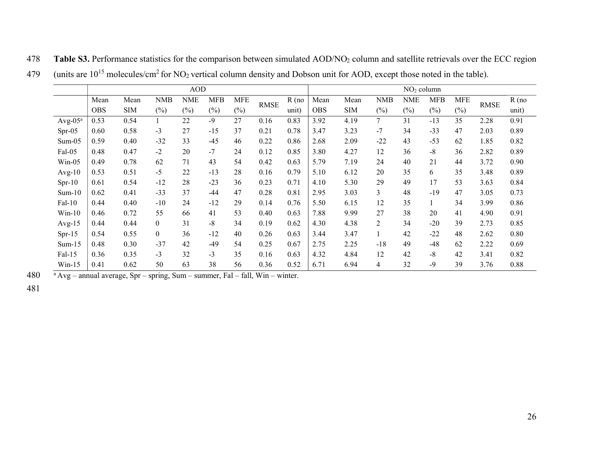|            |            |            |                  | <b>AOD</b> |            |            |             |         |            |            |       | NO <sub>2</sub> column |            |            |             |         |
|------------|------------|------------|------------------|------------|------------|------------|-------------|---------|------------|------------|-------|------------------------|------------|------------|-------------|---------|
|            | Mean       | Mean       | NMB              | <b>NME</b> | <b>MFB</b> | <b>MFE</b> | <b>RMSE</b> | $R$ (no | Mean       | Mean       | NMB   | <b>NME</b>             | <b>MFB</b> | <b>MFE</b> | <b>RMSE</b> | $R$ (no |
|            | <b>OBS</b> | <b>SIM</b> | $(\%)$           | (%)        | (%)        | (%)        |             | unit)   | <b>OBS</b> | <b>SIM</b> | (%)   | (%)                    | $(\%)$     | $(\%)$     |             | unit)   |
| $Avg-05^a$ | 0.53       | 0.54       |                  | 22         | $-9$       | 27         | 0.16        | 0.83    | 3.92       | 4.19       | 7     | 31                     | $-13$      | 35         | 2.28        | 0.91    |
| $Spr-05$   | 0.60       | 0.58       | $-3$             | 27         | $-15$      | 37         | 0.21        | 0.78    | 3.47       | 3.23       | $-7$  | 34                     | $-33$      | 47         | 2.03        | 0.89    |
| $Sum-05$   | 0.59       | 0.40       | $-32$            | 33         | $-45$      | 46         | 0.22        | 0.86    | 2.68       | 2.09       | $-22$ | 43                     | $-53$      | 62         | 1.85        | 0.82    |
| Fal-05     | 0.48       | 0.47       | $-2$             | 20         | $-7$       | 24         | 0.12        | 0.85    | 3.80       | 4.27       | 12    | 36                     | $-8$       | 36         | 2.82        | 0.89    |
| Win-05     | 0.49       | 0.78       | 62               | 71         | 43         | 54         | 0.42        | 0.63    | 5.79       | 7.19       | 24    | 40                     | 21         | 44         | 3.72        | 0.90    |
| $Avg-10$   | 0.53       | 0.51       | $-5$             | 22         | $-13$      | 28         | 0.16        | 0.79    | 5.10       | 6.12       | 20    | 35                     | 6          | 35         | 3.48        | 0.89    |
| $Spr-10$   | 0.61       | 0.54       | $-12$            | 28         | $-23$      | 36         | 0.23        | 0.71    | 4.10       | 5.30       | 29    | 49                     | 17         | 53         | 3.63        | 0.84    |
| $Sum-10$   | 0.62       | 0.41       | $-33$            | 37         | $-44$      | 47         | 0.28        | 0.81    | 2.95       | 3.03       | 3     | 48                     | $-19$      | 47         | 3.05        | 0.73    |
| Fal-10     | 0.44       | 0.40       | $-10$            | 24         | $-12$      | 29         | 0.14        | 0.76    | 5.50       | 6.15       | 12    | 35                     |            | 34         | 3.99        | 0.86    |
| $Win-10$   | 0.46       | 0.72       | 55               | 66         | 41         | 53         | 0.40        | 0.63    | 7.88       | 9.99       | 27    | 38                     | 20         | 41         | 4.90        | 0.91    |
| $Avg-15$   | 0.44       | 0.44       | $\boldsymbol{0}$ | 31         | $-8$       | 34         | 0.19        | 0.62    | 4.30       | 4.38       | 2     | 34                     | $-20$      | 39         | 2.73        | 0.85    |
| $Spr-15$   | 0.54       | 0.55       | $\boldsymbol{0}$ | 36         | $-12$      | 40         | 0.26        | 0.63    | 3.44       | 3.47       |       | 42                     | $-22$      | 48         | 2.62        | 0.80    |
| $Sum-15$   | 0.48       | 0.30       | $-37$            | 42         | $-49$      | 54         | 0.25        | 0.67    | 2.75       | 2.25       | $-18$ | 49                     | $-48$      | 62         | 2.22        | 0.69    |
| Fal-15     | 0.36       | 0.35       | $-3$             | 32         | $-3$       | 35         | 0.16        | 0.63    | 4.32       | 4.84       | 12    | 42                     | $-8$       | 42         | 3.41        | 0.82    |
| $Win-15$   | 0.41       | 0.62       | 50               | 63         | 38         | 56         | 0.36        | 0.52    | 6.71       | 6.94       | 4     | 32                     | $-9$       | 39         | 3.76        | 0.88    |

478 Table S3. Performance statistics for the comparison between simulated AOD/NO2 column and satellite retrievals over the ECC region 479 (units are  $10^{15}$  molecules/cm<sup>2</sup> for NO<sub>2</sub> vertical column density and Dobson unit for AOD, except those noted in the table).

480 <sup>a</sup>Avg – annual average, Spr – spring, Sum – summer, Fal – fall, Win – winter.